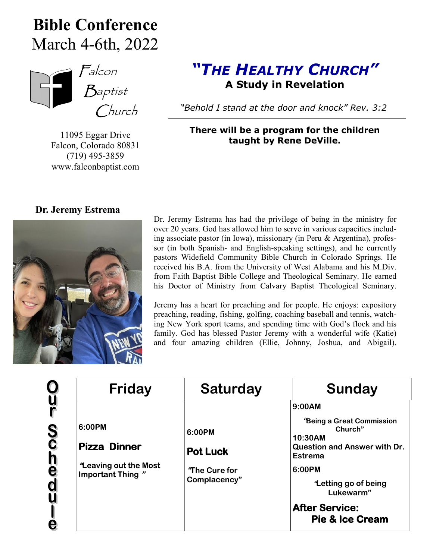## **Bible Conference** March 4-6th, 2022



11095 Eggar Drive Falcon, Colorado 80831 (719) 495-3859 www.falconbaptist.com

## *"THE HEALTHY CHURCH"* **A Study in Revelation**

 *"Behold I stand at the door and knock" Rev. 3:2*

**There will be a program for the children taught by Rene DeVille.**



Dr. Jeremy Estrema has had the privilege of being in the ministry for over 20 years. God has allowed him to serve in various capacities including associate pastor (in Iowa), missionary (in Peru & Argentina), professor (in both Spanish- and English-speaking settings), and he currently pastors Widefield Community Bible Church in Colorado Springs. He received his B.A. from the University of West Alabama and his M.Div. from Faith Baptist Bible College and Theological Seminary. He earned his Doctor of Ministry from Calvary Baptist Theological Seminary.

Jeremy has a heart for preaching and for people. He enjoys: expository preaching, reading, fishing, golfing, coaching baseball and tennis, watching New York sport teams, and spending time with God's flock and his family. God has blessed Pastor Jeremy with a wonderful wife (Katie) and four amazing children (Ellie, Johnny, Joshua, and Abigail).

| <b>Friday</b>                                                                    | <b>Saturday</b>                                            | Sunday                                                                                                                                                                                                           |
|----------------------------------------------------------------------------------|------------------------------------------------------------|------------------------------------------------------------------------------------------------------------------------------------------------------------------------------------------------------------------|
| 6:00PM<br><b>Pizza Dinner</b><br><b>Leaving out the Most</b><br>Important Thing" | 6:00PM<br><b>Pot Luck</b><br>"The Cure for<br>Complacency" | 9:00AM<br>"Being a Great Commission<br>Church"<br>10:30AM<br><b>Question and Answer with Dr.</b><br>Estrema<br>6:00PM<br>Letting go of being<br>Lukewarm"<br><b>After Service:</b><br><b>Pie &amp; Ice Cream</b> |